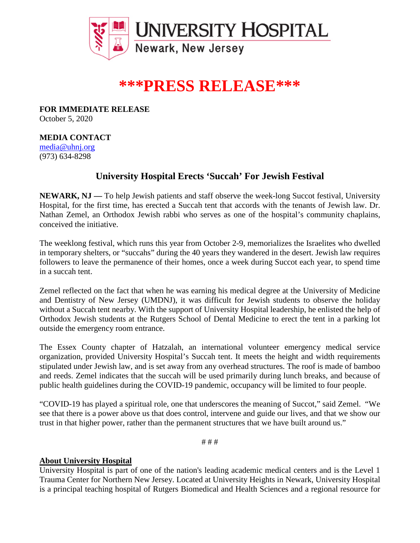

## **\*\*\*PRESS RELEASE\*\*\***

**FOR IMMEDIATE RELEASE** October 5, 2020

## **MEDIA CONTACT**

[media@uhnj.org](about:blank) (973) 634-8298

## **University Hospital Erects 'Succah' For Jewish Festival**

**NEWARK, NJ —** To help Jewish patients and staff observe the week-long Succot festival, University Hospital, for the first time, has erected a Succah tent that accords with the tenants of Jewish law. Dr. Nathan Zemel, an Orthodox Jewish rabbi who serves as one of the hospital's community chaplains, conceived the initiative.

The weeklong festival, which runs this year from October 2-9, memorializes the Israelites who dwelled in temporary shelters, or "succahs" during the 40 years they wandered in the desert. Jewish law requires followers to leave the permanence of their homes, once a week during Succot each year, to spend time in a succah tent.

Zemel reflected on the fact that when he was earning his medical degree at the University of Medicine and Dentistry of New Jersey (UMDNJ), it was difficult for Jewish students to observe the holiday without a Succah tent nearby. With the support of University Hospital leadership, he enlisted the help of Orthodox Jewish students at the Rutgers School of Dental Medicine to erect the tent in a parking lot outside the emergency room entrance.

The Essex County chapter of Hatzalah, an international volunteer emergency medical service organization, provided University Hospital's Succah tent. It meets the height and width requirements stipulated under Jewish law, and is set away from any overhead structures. The roof is made of bamboo and reeds. Zemel indicates that the succah will be used primarily during lunch breaks, and because of public health guidelines during the COVID-19 pandemic, occupancy will be limited to four people.

"COVID-19 has played a spiritual role, one that underscores the meaning of Succot," said Zemel. "We see that there is a power above us that does control, intervene and guide our lives, and that we show our trust in that higher power, rather than the permanent structures that we have built around us."

# # #

## **About University Hospital**

University Hospital is part of one of the nation's leading academic medical centers and is the Level 1 Trauma Center for Northern New Jersey. Located at University Heights in Newark, University Hospital is a principal teaching hospital of Rutgers Biomedical and Health Sciences and a regional resource for